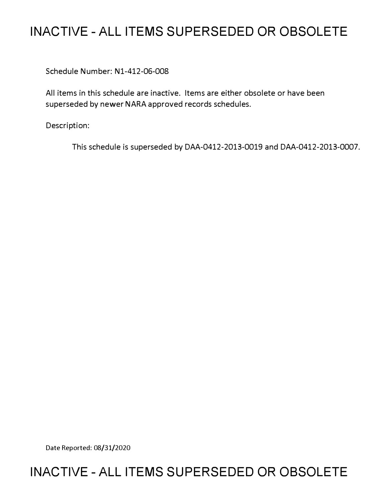# **INACTIVE - ALL ITEMS SUPERSEDED OR OBSOLETE**

Schedule Number: Nl-412-06-008

All items in this schedule are inactive. Items are either obsolete or have been superseded by newer NARA approved records schedules.

Description:

This schedule is superseded by DAA-0412-2013-0019 and DAA-0412-2013-0007.

Date Reported: 08/31/2020

## **INACTIVE - ALL ITEMS SUPERSEDED OR OBSOLETE**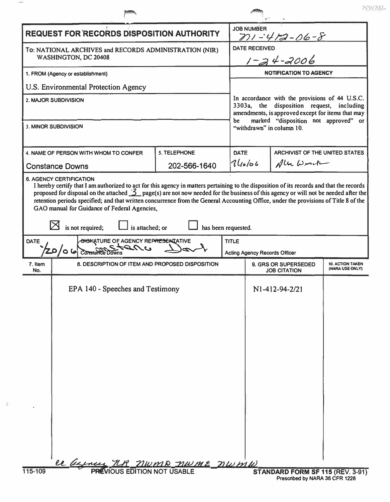| <b>REQUEST FOR RECORDS DISPOSITION AUTHORITY</b>                                                  |                                                                                                                                                                                                                                                                                                                                                                               |                     |       | <b>JOB NUMBER</b><br>$201 - 412 - 06 - 8$                                                                                                                                                                                   |                                       |                                            |  |
|---------------------------------------------------------------------------------------------------|-------------------------------------------------------------------------------------------------------------------------------------------------------------------------------------------------------------------------------------------------------------------------------------------------------------------------------------------------------------------------------|---------------------|-------|-----------------------------------------------------------------------------------------------------------------------------------------------------------------------------------------------------------------------------|---------------------------------------|--------------------------------------------|--|
| To: NATIONAL ARCHIVES and RECORDS ADMINISTRATION (NIR)<br>WASHINGTON, DC 20408                    |                                                                                                                                                                                                                                                                                                                                                                               |                     |       | <b>DATE RECEIVED</b><br>E RECEIVED<br><u>1 - 2</u> 4 - 2006                                                                                                                                                                 |                                       |                                            |  |
| 1. FROM (Agency or establishment)                                                                 |                                                                                                                                                                                                                                                                                                                                                                               |                     |       | <b>NOTIFICATION TO AGENCY</b>                                                                                                                                                                                               |                                       |                                            |  |
| U.S. Environmental Protection Agency                                                              |                                                                                                                                                                                                                                                                                                                                                                               |                     |       |                                                                                                                                                                                                                             |                                       |                                            |  |
| 2. MAJOR SUBDIVISION                                                                              |                                                                                                                                                                                                                                                                                                                                                                               |                     |       | In accordance with the provisions of 44 U.S.C.<br>3303a, the disposition request, including<br>amendments, is approved except for items that may<br>marked "disposition not approved" or<br>be<br>"withdrawn" in column 10. |                                       |                                            |  |
| <b>3. MINOR SUBDIVISION</b>                                                                       |                                                                                                                                                                                                                                                                                                                                                                               |                     |       |                                                                                                                                                                                                                             |                                       |                                            |  |
|                                                                                                   | 4. NAME OF PERSON WITH WHOM TO CONFER                                                                                                                                                                                                                                                                                                                                         | <b>S. TELEPHONE</b> | DATE  |                                                                                                                                                                                                                             | <b>ARCHIVIST OF THE UNITED STATES</b> |                                            |  |
|                                                                                                   | <b>Constance Downs</b>                                                                                                                                                                                                                                                                                                                                                        | 202-566-1640        | 84066 |                                                                                                                                                                                                                             | Alle Went                             |                                            |  |
|                                                                                                   | proposed for disposal on the attached $\frac{3}{2}$ page(s) are not now needed for the business of this agency or will not be needed after the<br>retention periods specified; and that written concurrence from the General Accounting Office, under the provisions of Title 8 of the<br>GAO manual for Guidance of Federal Agencies,<br>is not required;<br>is attached; or | has been requested. |       |                                                                                                                                                                                                                             |                                       |                                            |  |
| <b>SIGNATURE OF AGENCY REPRESENTATIVE</b><br><b>DATE</b><br>cance<br> ما ۱۵/۹۵<br>Constance Downs |                                                                                                                                                                                                                                                                                                                                                                               |                     |       | <b>TITLE</b><br><b>Acting Agency Records Officer</b>                                                                                                                                                                        |                                       |                                            |  |
| 7. Item<br>No.                                                                                    | 8. DESCRIPTION OF ITEM AND PROPOSED DISPOSITION                                                                                                                                                                                                                                                                                                                               |                     |       | 9. GRS OR SUPERSEDED<br><b>JOB CITATION</b>                                                                                                                                                                                 |                                       | <b>10. ACTION TAKEN</b><br>(NARA USE ONLY) |  |
|                                                                                                   | EPA 140 - Speeches and Testimony                                                                                                                                                                                                                                                                                                                                              |                     |       | N1-412-94-2/21                                                                                                                                                                                                              |                                       |                                            |  |
|                                                                                                   |                                                                                                                                                                                                                                                                                                                                                                               |                     |       |                                                                                                                                                                                                                             |                                       |                                            |  |
| 115-109                                                                                           | <u>ee Germen 7LR 71WMD 71WME 31WMW</u>                                                                                                                                                                                                                                                                                                                                        |                     |       |                                                                                                                                                                                                                             | STANDARD FORM SF 115 (REV. 3-91)      |                                            |  |

 $\rightarrow$ 

÷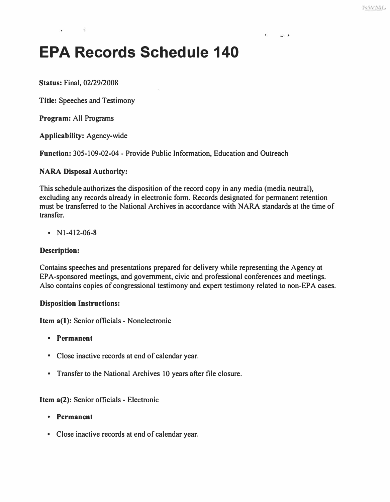an a

# **EPA Records Schedule 140**

**Status: Final, 02/29/2008** 

**Title: Speeches and Testimony** 

**Program: All Programs** 

**Applicability: Agency-wide** 

**Function: 305-109-02-04 - Provide Public Information, Education and Outreach** 

#### **NARA Disposal Authority:**

**This schedule authorizes the disposition of the record copy in any media (media neutral), excluding any records already in electronic form. Records designated for permanent retention must be transferred to the National Archives in accordance with NARA standards at the time of transfer.** 

**• NI-412-06-8** 

#### **Description:**

**Contains speeches and presentations prepared for delivery while representing the Agency at EPA-sponsored meetings, and government, civic and professional conferences and meetings. Also contains copies of congressional testimony and expert testimony related to non-EPA cases.** 

#### **Disposition Instructions:**

**Item a(l): Senior officials - Nonelectronic** 

- **Permanent**
- **Close inactive records at end of calendar year.**
- **Transfer to the National Archives IO years after file closure.**

#### **Item a(2): Senior officials - Electronic**

- **Permanent**
- **Close inactive records at end of calendar year.**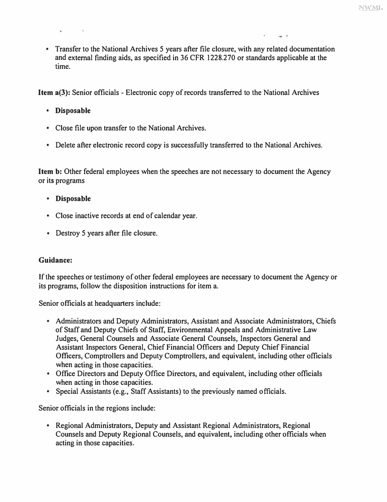$\omega +$ 

**• Transfer to the National Archives 5 years after file closure, with any related documentation and external finding aids, as specified in 36 CFR 1228.270 or standards applicable at the time.** 

**Item a(J): Senior officials - Electronic copy of records transferred to the National Archives** 

- **Disposable**
- **Close file upon transfer to the National Archives.**
- **Delete after electronic record copy is successfully transferred to the National Archives.**

**Item b: Other federal employees when the speeches are not necessary to document the Agency or its programs** 

- **Disposable**
- **Close inactive records at end of calendar year.**
- **Destroy 5 years after file closure.**

## **Guidance:**

**If the speeches or testimony of other federal employees are necessary to document the Agency or its programs, follow the disposition instructions for item a.** 

**Senior officials at headquarters include:** 

- **Administrators and Deputy Administrators, Assistant and Associate Administrators, Chiefs of Staff and Deputy Chiefs of Staff, Environmental Appeals and Administrative Law Judges, General Counsels and Associate General Counsels, Inspectors General and Assistant Inspectors General, Chief Financial Officers and Deputy Chief Financial Officers, Comptrollers and Deputy Comptrollers, and equivalent, including other officials when acting in those capacities. • Office Directors and Deputy Office Directors, and equivalent, including other officials**
- when acting in those capacities.<br>
Special Assistants (e.g., Staff Assistants) to the previously named officials.
- 

**Senior officials in the regions include:** 

**• Regional Administrators, Deputy and Assistant Regional Administrators, Regional Counsels and Deputy Regional Counsels, and equivalent, including other officials when acting in those capacities.**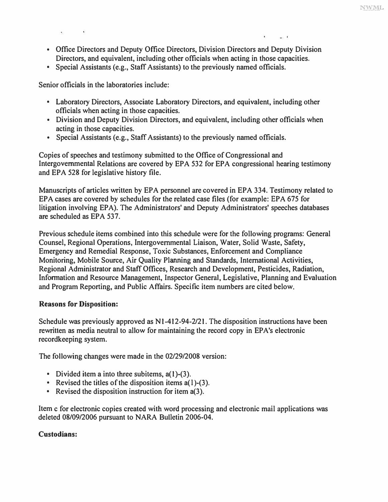- **Office Directors and Deputy Office Directors, Division Directors and Deputy Division**
- Special Assistants (e.g., Staff Assistants) to the previously named officials.

**Senior officials in the laboratories include:** 

- **Laboratory Directors, Associate Laboratory Directors, and equivalent, including other**
- Division and Deputy Division Directors, and equivalent, including other officials when acting in those capacities.
- Special Assistants (e.g., Staff Assistants) to the previously named officials.

**Copies of speeches and testimony submitted to the Office of Congressional and Intergovernmental Relations are covered by EPA 532 for EPA congressional hearing testimony and EPA 528 for legislative history file.** 

**Manuscripts of articles written by EPA personnel are covered in EPA 334. Testimony related to EPA cases are covered by schedules for the related case files (for example: EPA 675 for litigation involving EPA). The Administrators' and Deputy Administrators' speeches databases are scheduled as EPA 537.** 

**Previous schedule items combined into this schedule were for the following programs: General Counsel, Regional Operations, Intergovernmental Liaison, Water, Solid Waste, Safety, Emergency and Remedial Response, Toxic Substances, Enforcement and Compliance Monitoring, Mobile Source, Air Quality Planning and Standards, International Activities, Regional Administrator and Staff Offices, Research and Development, Pesticides, Radiation, Information and Resource Management, Inspector General, Legislative, Planning and Evaluation and Program Reporting, and Public Affairs. Specific item numbers are cited below.** 

#### **Reasons for Disposition:**

**Schedule was previously approved as N l-412-94-2/21. The disposition instructions have been rewritten as media neutral to allow for maintaining the record copy in EPA's electronic recordkeeping system.** 

**The following changes were made in the 02/29/2008 version:** 

- 
- **Divided item a into three subitems, a(l)-(3). Revised the titles of the disposition items a( l )-(3). Revised the disposition instruction for item a(3).**
- 

**Item c for electronic copies created with word processing and electronic mail applications was deleted 08/09/2006 pursuant to NARA Bulletin 2006-04.** 

#### **Custodians:**